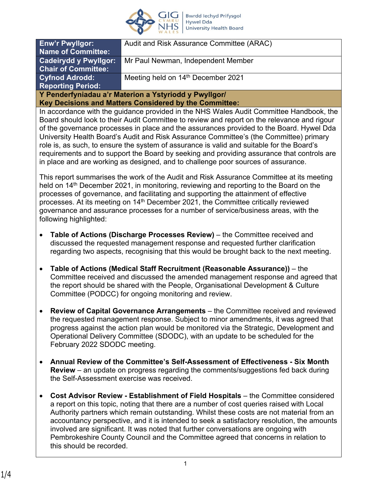

| <b>Enw'r Pwyllgor:</b>                                 | Audit and Risk Assurance Committee (ARAC)      |
|--------------------------------------------------------|------------------------------------------------|
| Name of Committee:                                     |                                                |
| <b>Cadeirydd y Pwyllgor:</b>                           | Mr Paul Newman, Independent Member             |
| <b>Chair of Committee:</b>                             |                                                |
| <b>Cyfnod Adrodd:</b>                                  | Meeting held on 14 <sup>th</sup> December 2021 |
| <b>Reporting Period:</b>                               |                                                |
| Y Penderfyniadau a'r Materion a Ystyriodd y Pwyllgor/  |                                                |
| Key Decisions and Matters Considered by the Committee: |                                                |

In accordance with the guidance provided in the NHS Wales Audit Committee Handbook, the Board should look to their Audit Committee to review and report on the relevance and rigour of the governance processes in place and the assurances provided to the Board. Hywel Dda University Health Board's Audit and Risk Assurance Committee's (the Committee) primary role is, as such, to ensure the system of assurance is valid and suitable for the Board's requirements and to support the Board by seeking and providing assurance that controls are in place and are working as designed, and to challenge poor sources of assurance.

This report summarises the work of the Audit and Risk Assurance Committee at its meeting held on 14<sup>th</sup> December 2021, in monitoring, reviewing and reporting to the Board on the processes of governance, and facilitating and supporting the attainment of effective processes. At its meeting on 14<sup>th</sup> December 2021, the Committee critically reviewed governance and assurance processes for a number of service/business areas, with the following highlighted:

- **Table of Actions (Discharge Processes Review)** the Committee received and discussed the requested management response and requested further clarification regarding two aspects, recognising that this would be brought back to the next meeting.
- **Table of Actions (Medical Staff Recruitment (Reasonable Assurance))**  the Committee received and discussed the amended management response and agreed that the report should be shared with the People, Organisational Development & Culture Committee (PODCC) for ongoing monitoring and review.
- **Review of Capital Governance Arrangements** the Committee received and reviewed the requested management response. Subject to minor amendments, it was agreed that progress against the action plan would be monitored via the Strategic, Development and Operational Delivery Committee (SDODC), with an update to be scheduled for the February 2022 SDODC meeting.
- **Annual Review of the Committee's Self-Assessment of Effectiveness Six Month Review** – an update on progress regarding the comments/suggestions fed back during the Self-Assessment exercise was received.
- **Cost Advisor Review Establishment of Field Hospitals**  the Committee considered a report on this topic, noting that there are a number of cost queries raised with Local Authority partners which remain outstanding. Whilst these costs are not material from an accountancy perspective, and it is intended to seek a satisfactory resolution, the amounts involved are significant. It was noted that further conversations are ongoing with Pembrokeshire County Council and the Committee agreed that concerns in relation to this should be recorded.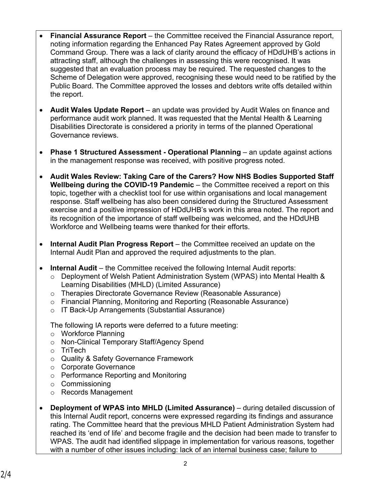- **Financial Assurance Report** the Committee received the Financial Assurance report, noting information regarding the Enhanced Pay Rates Agreement approved by Gold Command Group. There was a lack of clarity around the efficacy of HDdUHB's actions in attracting staff, although the challenges in assessing this were recognised. It was suggested that an evaluation process may be required. The requested changes to the Scheme of Delegation were approved, recognising these would need to be ratified by the Public Board. The Committee approved the losses and debtors write offs detailed within the report.
- **Audit Wales Update Report** an update was provided by Audit Wales on finance and performance audit work planned. It was requested that the Mental Health & Learning Disabilities Directorate is considered a priority in terms of the planned Operational Governance reviews.
- **Phase 1 Structured Assessment Operational Planning** an update against actions in the management response was received, with positive progress noted.
- **Audit Wales Review: Taking Care of the Carers? How NHS Bodies Supported Staff Wellbeing during the COVID-19 Pandemic** – the Committee received a report on this topic, together with a checklist tool for use within organisations and local management response. Staff wellbeing has also been considered during the Structured Assessment exercise and a positive impression of HDdUHB's work in this area noted. The report and its recognition of the importance of staff wellbeing was welcomed, and the HDdUHB Workforce and Wellbeing teams were thanked for their efforts.
- **Internal Audit Plan Progress Report** the Committee received an update on the Internal Audit Plan and approved the required adjustments to the plan.
- **Internal Audit** the Committee received the following Internal Audit reports:
	- o Deployment of Welsh Patient Administration System (WPAS) into Mental Health & Learning Disabilities (MHLD) (Limited Assurance)
	- o Therapies Directorate Governance Review (Reasonable Assurance)
	- o Financial Planning, Monitoring and Reporting (Reasonable Assurance)
	- o IT Back-Up Arrangements (Substantial Assurance)

The following IA reports were deferred to a future meeting:

- o Workforce Planning
- o Non-Clinical Temporary Staff/Agency Spend
- o TriTech
- o Quality & Safety Governance Framework
- o Corporate Governance
- o Performance Reporting and Monitoring
- o Commissioning
- o Records Management
- **Deployment of WPAS into MHLD (Limited Assurance)** during detailed discussion of this Internal Audit report, concerns were expressed regarding its findings and assurance rating. The Committee heard that the previous MHLD Patient Administration System had reached its 'end of life' and become fragile and the decision had been made to transfer to WPAS. The audit had identified slippage in implementation for various reasons, together with a number of other issues including: lack of an internal business case; failure to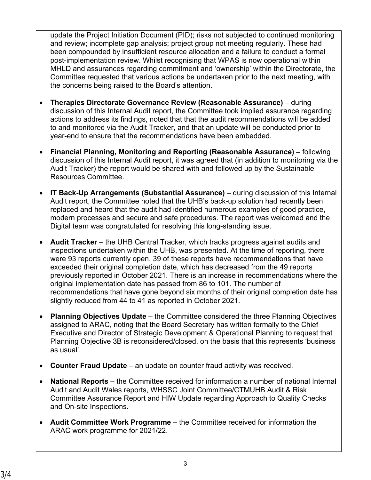update the Project Initiation Document (PID); risks not subjected to continued monitoring and review; incomplete gap analysis; project group not meeting regularly. These had been compounded by insufficient resource allocation and a failure to conduct a formal post-implementation review. Whilst recognising that WPAS is now operational within MHLD and assurances regarding commitment and 'ownership' within the Directorate, the Committee requested that various actions be undertaken prior to the next meeting, with the concerns being raised to the Board's attention.

- **Therapies Directorate Governance Review (Reasonable Assurance)** during discussion of this Internal Audit report, the Committee took implied assurance regarding actions to address its findings, noted that that the audit recommendations will be added to and monitored via the Audit Tracker, and that an update will be conducted prior to year-end to ensure that the recommendations have been embedded.
- **Financial Planning, Monitoring and Reporting (Reasonable Assurance)** following discussion of this Internal Audit report, it was agreed that (in addition to monitoring via the Audit Tracker) the report would be shared with and followed up by the Sustainable Resources Committee.
- **IT Back-Up Arrangements (Substantial Assurance)** during discussion of this Internal Audit report, the Committee noted that the UHB's back-up solution had recently been replaced and heard that the audit had identified numerous examples of good practice, modern processes and secure and safe procedures. The report was welcomed and the Digital team was congratulated for resolving this long-standing issue.
- **Audit Tracker** the UHB Central Tracker, which tracks progress against audits and inspections undertaken within the UHB, was presented. At the time of reporting, there were 93 reports currently open. 39 of these reports have recommendations that have exceeded their original completion date, which has decreased from the 49 reports previously reported in October 2021. There is an increase in recommendations where the original implementation date has passed from 86 to 101. The number of recommendations that have gone beyond six months of their original completion date has slightly reduced from 44 to 41 as reported in October 2021.
- **Planning Objectives Update** the Committee considered the three Planning Objectives assigned to ARAC, noting that the Board Secretary has written formally to the Chief Executive and Director of Strategic Development & Operational Planning to request that Planning Objective 3B is reconsidered/closed, on the basis that this represents 'business as usual'.
- **Counter Fraud Update** an update on counter fraud activity was received.
- **National Reports** the Committee received for information a number of national Internal Audit and Audit Wales reports, WHSSC Joint Committee/CTMUHB Audit & Risk Committee Assurance Report and HIW Update regarding Approach to Quality Checks and On-site Inspections.
- **Audit Committee Work Programme** the Committee received for information the ARAC work programme for 2021/22.